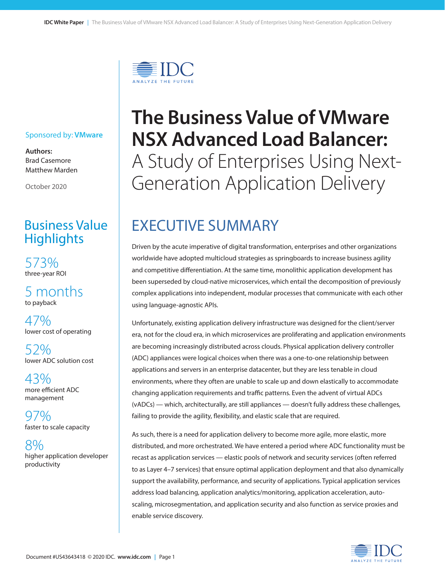

#### Sponsored by: **VMware**

**Authors:** Brad Casemore Matthew Marden

October 2020

## Business Value **Highlights**

573% three-year ROI

5 months to payback

47% lower cost of operating

52% lower ADC solution cost

43% more efficient ADC management

97% faster to scale capacity

8% higher application developer productivity

# **The Business Value of VMware NSX Advanced Load Balancer:** A Study of Enterprises Using Next-Generation Application Delivery

# EXECUTIVE SUMMARY

Driven by the acute imperative of digital transformation, enterprises and other organizations worldwide have adopted multicloud strategies as springboards to increase business agility and competitive differentiation. At the same time, monolithic application development has been superseded by cloud-native microservices, which entail the decomposition of previously complex applications into independent, modular processes that communicate with each other using language-agnostic APIs.

Unfortunately, existing application delivery infrastructure was designed for the client/server era, not for the cloud era, in which microservices are proliferating and application environments are becoming increasingly distributed across clouds. Physical application delivery controller (ADC) appliances were logical choices when there was a one-to-one relationship between applications and servers in an enterprise datacenter, but they are less tenable in cloud environments, where they often are unable to scale up and down elastically to accommodate changing application requirements and traffic patterns. Even the advent of virtual ADCs (vADCs) — which, architecturally, are still appliances — doesn't fully address these challenges, failing to provide the agility, flexibility, and elastic scale that are required.

As such, there is a need for application delivery to become more agile, more elastic, more distributed, and more orchestrated. We have entered a period where ADC functionality must be recast as application services — elastic pools of network and security services (often referred to as Layer 4–7 services) that ensure optimal application deployment and that also dynamically support the availability, performance, and security of applications. Typical application services address load balancing, application analytics/monitoring, application acceleration, autoscaling, microsegmentation, and application security and also function as service proxies and enable service discovery.

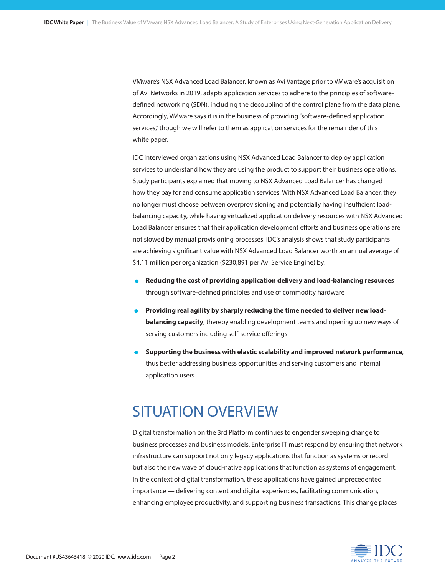VMware's NSX Advanced Load Balancer, known as Avi Vantage prior to VMware's acquisition of Avi Networks in 2019, adapts application services to adhere to the principles of softwaredefined networking (SDN), including the decoupling of the control plane from the data plane. Accordingly, VMware says it is in the business of providing "software-defined application services," though we will refer to them as application services for the remainder of this white paper.

IDC interviewed organizations using NSX Advanced Load Balancer to deploy application services to understand how they are using the product to support their business operations. Study participants explained that moving to NSX Advanced Load Balancer has changed how they pay for and consume application services. With NSX Advanced Load Balancer, they no longer must choose between overprovisioning and potentially having insufficient loadbalancing capacity, while having virtualized application delivery resources with NSX Advanced Load Balancer ensures that their application development efforts and business operations are not slowed by manual provisioning processes. IDC's analysis shows that study participants are achieving significant value with NSX Advanced Load Balancer worth an annual average of \$4.11 million per organization (\$230,891 per Avi Service Engine) by:

- **• Reducing the cost of providing application delivery and load-balancing resources** through software-defined principles and use of commodity hardware
- **• Providing real agility by sharply reducing the time needed to deliver new loadbalancing capacity**, thereby enabling development teams and opening up new ways of serving customers including self-service offerings
- **• Supporting the business with elastic scalability and improved network performance**, thus better addressing business opportunities and serving customers and internal application users

# SITUATION OVERVIEW

Digital transformation on the 3rd Platform continues to engender sweeping change to business processes and business models. Enterprise IT must respond by ensuring that network infrastructure can support not only legacy applications that function as systems or record but also the new wave of cloud-native applications that function as systems of engagement. In the context of digital transformation, these applications have gained unprecedented importance — delivering content and digital experiences, facilitating communication, enhancing employee productivity, and supporting business transactions. This change places

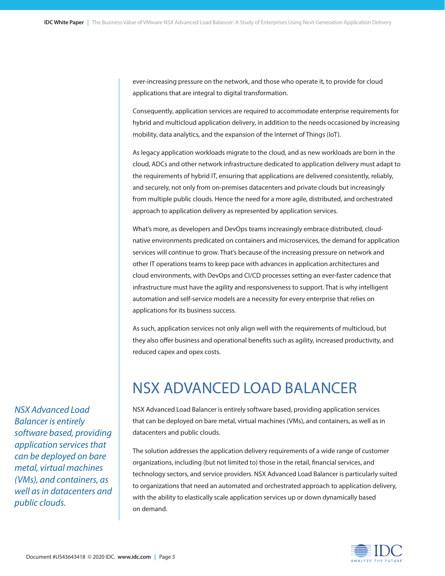ever-increasing pressure on the network, and those who operate it, to provide for cloud applications that are integral to digital transformation.

Consequently, application services are required to accommodate enterprise requirements for hybrid and multicloud application delivery, in addition to the needs occasioned by increasing mobility, data analytics, and the expansion of the Internet of Things (IoT).

As legacy application workloads migrate to the cloud, and as new workloads are born in the cloud, ADCs and other network infrastructure dedicated to application delivery must adapt to the requirements of hybrid IT, ensuring that applications are delivered consistently, reliably, and securely, not only from on-premises datacenters and private clouds but increasingly from multiple public clouds. Hence the need for a more agile, distributed, and orchestrated approach to application delivery as represented by application services.

What's more, as developers and DevOps teams increasingly embrace distributed, cloudnative environments predicated on containers and microservices, the demand for application services will continue to grow. That's because of the increasing pressure on network and other IT operations teams to keep pace with advances in application architectures and cloud environments, with DevOps and CI/CD processes setting an ever-faster cadence that infrastructure must have the agility and responsiveness to support. That is why intelligent automation and self-service models are a necessity for every enterprise that relies on applications for its business success.

As such, application services not only align well with the requirements of multicloud, but they also offer business and operational benefits such as agility, increased productivity, and reduced capex and opex costs.

# NSX ADVANCED LOAD BALANCER

NSX Advanced Load Balancer is entirely software based, providing application services that can be deployed on bare metal, virtual machines (VMs), and containers, as well as in datacenters and public clouds.

The solution addresses the application delivery requirements of a wide range of customer organizations, including (but not limited to) those in the retail, financial services, and technology sectors, and service providers. NSX Advanced Load Balancer is particularly suited to organizations that need an automated and orchestrated approach to application delivery, with the ability to elastically scale application services up or down dynamically based on demand.



*NSX Advanced Load Balancer is entirely software based, providing application services that can be deployed on bare metal, virtual machines (VMs), and containers, as well as in datacenters and public clouds.*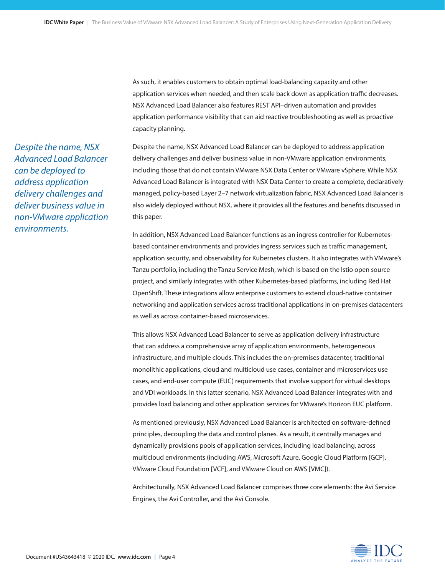As such, it enables customers to obtain optimal load-balancing capacity and other application services when needed, and then scale back down as application traffic decreases. NSX Advanced Load Balancer also features REST API–driven automation and provides application performance visibility that can aid reactive troubleshooting as well as proactive capacity planning.

Despite the name, NSX Advanced Load Balancer can be deployed to address application delivery challenges and deliver business value in non-VMware application environments, including those that do not contain VMware NSX Data Center or VMware vSphere. While NSX Advanced Load Balancer is integrated with NSX Data Center to create a complete, declaratively managed, policy-based Layer 2–7 network virtualization fabric, NSX Advanced Load Balancer is also widely deployed without NSX, where it provides all the features and benefits discussed in this paper.

In addition, NSX Advanced Load Balancer functions as an ingress controller for Kubernetesbased container environments and provides ingress services such as traffic management, application security, and observability for Kubernetes clusters. It also integrates with VMware's Tanzu portfolio, including the Tanzu Service Mesh, which is based on the Istio open source project, and similarly integrates with other Kubernetes-based platforms, including Red Hat OpenShift. These integrations allow enterprise customers to extend cloud-native container networking and application services across traditional applications in on-premises datacenters as well as across container-based microservices.

This allows NSX Advanced Load Balancer to serve as application delivery infrastructure that can address a comprehensive array of application environments, heterogeneous infrastructure, and multiple clouds. This includes the on-premises datacenter, traditional monolithic applications, cloud and multicloud use cases, container and microservices use cases, and end-user compute (EUC) requirements that involve support for virtual desktops and VDI workloads. In this latter scenario, NSX Advanced Load Balancer integrates with and provides load balancing and other application services for VMware's Horizon EUC platform.

As mentioned previously, NSX Advanced Load Balancer is architected on software-defined principles, decoupling the data and control planes. As a result, it centrally manages and dynamically provisions pools of application services, including load balancing, across multicloud environments (including AWS, Microsoft Azure, Google Cloud Platform [GCP], VMware Cloud Foundation [VCF], and VMware Cloud on AWS [VMC]).

Architecturally, NSX Advanced Load Balancer comprises three core elements: the Avi Service Engines, the Avi Controller, and the Avi Console.

*Despite the name, NSX Advanced Load Balancer can be deployed to address application delivery challenges and deliver business value in non-VMware application environments.*

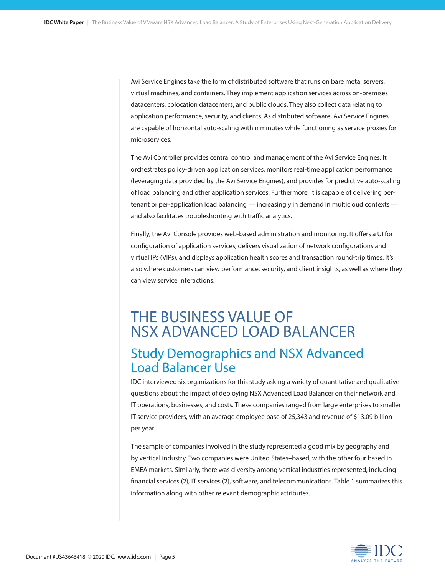Avi Service Engines take the form of distributed software that runs on bare metal servers, virtual machines, and containers. They implement application services across on-premises datacenters, colocation datacenters, and public clouds. They also collect data relating to application performance, security, and clients. As distributed software, Avi Service Engines are capable of horizontal auto-scaling within minutes while functioning as service proxies for microservices.

The Avi Controller provides central control and management of the Avi Service Engines. It orchestrates policy-driven application services, monitors real-time application performance (leveraging data provided by the Avi Service Engines), and provides for predictive auto-scaling of load balancing and other application services. Furthermore, it is capable of delivering pertenant or per-application load balancing — increasingly in demand in multicloud contexts and also facilitates troubleshooting with traffic analytics.

Finally, the Avi Console provides web-based administration and monitoring. It offers a UI for configuration of application services, delivers visualization of network configurations and virtual IPs (VIPs), and displays application health scores and transaction round-trip times. It's also where customers can view performance, security, and client insights, as well as where they can view service interactions.

# THE BUSINESS VALUE OF NSX ADVANCED LOAD BALANCER Study Demographics and NSX Advanced Load Balancer Use

IDC interviewed six organizations for this study asking a variety of quantitative and qualitative questions about the impact of deploying NSX Advanced Load Balancer on their network and IT operations, businesses, and costs. These companies ranged from large enterprises to smaller IT service providers, with an average employee base of 25,343 and revenue of \$13.09 billion per year.

The sample of companies involved in the study represented a good mix by geography and by vertical industry. Two companies were United States–based, with the other four based in EMEA markets. Similarly, there was diversity among vertical industries represented, including financial services (2), IT services (2), software, and telecommunications. Table 1 summarizes this information along with other relevant demographic attributes.

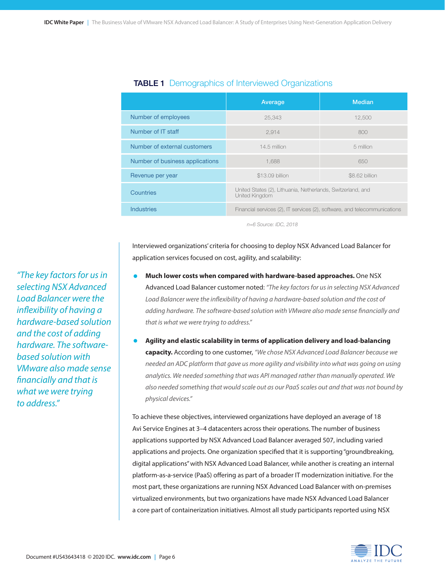|                                 | Average                                                                       | <b>Median</b>  |
|---------------------------------|-------------------------------------------------------------------------------|----------------|
| Number of employees             | 25,343                                                                        | 12,500         |
| Number of IT staff              | 2,914                                                                         | 800            |
| Number of external customers    | 14.5 million                                                                  | 5 million      |
| Number of business applications | 1.688                                                                         | 650            |
| Revenue per year                | \$13.09 billion                                                               | \$8.62 billion |
| Countries                       | United States (2), Lithuania, Netherlands, Switzerland, and<br>United Kingdom |                |
| <b>Industries</b>               | Financial services (2), IT services (2), software, and telecommunications     |                |

### **TABLE 1** Demographics of Interviewed Organizations

*n=6 Source: IDC, 2018*

Interviewed organizations' criteria for choosing to deploy NSX Advanced Load Balancer for application services focused on cost, agility, and scalability:

- **• Much lower costs when compared with hardware-based approaches.** One NSX Advanced Load Balancer customer noted: *"The key factors for us in selecting NSX Advanced Load Balancer were the inflexibility of having a hardware-based solution and the cost of adding hardware. The software-based solution with VMware also made sense financially and that is what we were trying to address."*
- **• Agility and elastic scalability in terms of application delivery and load-balancing capacity.** According to one customer, *"We chose NSX Advanced Load Balancer because we needed an ADC platform that gave us more agility and visibility into what was going on using analytics. We needed something that was API managed rather than manually operated. We also needed something that would scale out as our PaaS scales out and that was not bound by physical devices."*

To achieve these objectives, interviewed organizations have deployed an average of 18 Avi Service Engines at 3–4 datacenters across their operations. The number of business applications supported by NSX Advanced Load Balancer averaged 507, including varied applications and projects. One organization specified that it is supporting "groundbreaking, digital applications" with NSX Advanced Load Balancer, while another is creating an internal platform-as-a-service (PaaS) offering as part of a broader IT modernization initiative. For the most part, these organizations are running NSX Advanced Load Balancer with on-premises virtualized environments, but two organizations have made NSX Advanced Load Balancer a core part of containerization initiatives. Almost all study participants reported using NSX



*"The key factors for us in selecting NSX Advanced Load Balancer were the inflexibility of having a hardware-based solution and the cost of adding hardware. The softwarebased solution with VMware also made sense financially and that is what we were trying to address."*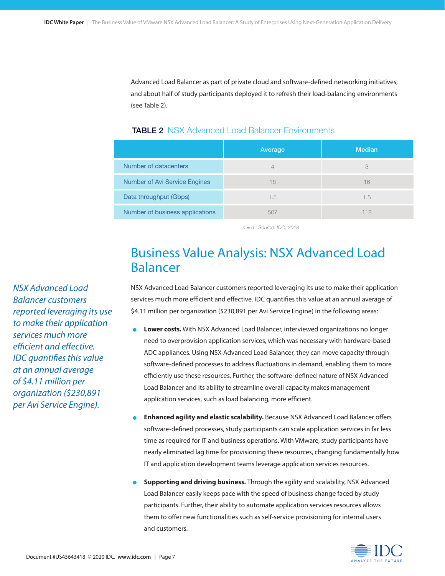Advanced Load Balancer as part of private cloud and software-defined networking initiatives, and about half of study participants deployed it to refresh their load-balancing environments (see Table 2).

|                                      | Average | <b>Median</b> |
|--------------------------------------|---------|---------------|
| Number of datacenters                |         | 3             |
| <b>Number of Avi Service Engines</b> | 18      | 16            |
| Data throughput (Gbps)               | 1.5     | 1.5           |
| Number of business applications      | 5()     | 118           |

#### **TABLE 2 NSX Advanced Load Balancer Environments**

*n = 6 Source: IDC, 2018*

## Business Value Analysis: NSX Advanced Load Balancer

NSX Advanced Load Balancer customers reported leveraging its use to make their application services much more efficient and effective. IDC quantifies this value at an annual average of \$4.11 million per organization (\$230,891 per Avi Service Engine) in the following areas:

- **• Lower costs.** With NSX Advanced Load Balancer, interviewed organizations no longer need to overprovision application services, which was necessary with hardware-based ADC appliances. Using NSX Advanced Load Balancer, they can move capacity through software-defined processes to address fluctuations in demand, enabling them to more efficiently use these resources. Further, the software-defined nature of NSX Advanced Load Balancer and its ability to streamline overall capacity makes management application services, such as load balancing, more efficient.
- **• Enhanced agility and elastic scalability.** Because NSX Advanced Load Balancer offers software-defined processes, study participants can scale application services in far less time as required for IT and business operations. With VMware, study participants have nearly eliminated lag time for provisioning these resources, changing fundamentally how IT and application development teams leverage application services resources.
- **• Supporting and driving business.** Through the agility and scalability, NSX Advanced Load Balancer easily keeps pace with the speed of business change faced by study participants. Further, their ability to automate application services resources allows them to offer new functionalities such as self-service provisioning for internal users and customers.



*NSX Advanced Load Balancer customers reported leveraging its use to make their application services much more efficient and effective. IDC quantifies this value at an annual average of \$4.11 million per organization (\$230,891 per Avi Service Engine).*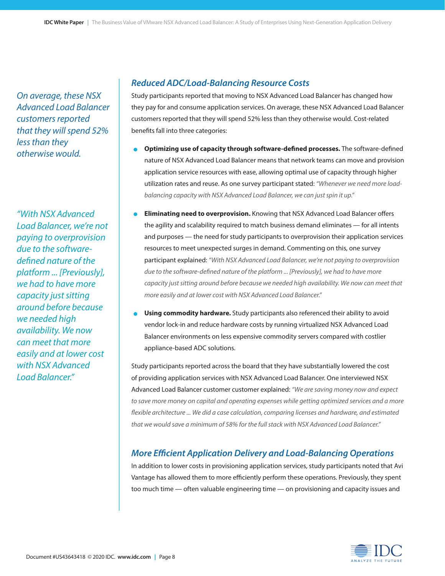*On average, these NSX Advanced Load Balancer customers reported that they will spend 52% less than they otherwise would.*

*"With NSX Advanced Load Balancer, we're not paying to overprovision due to the softwaredefined nature of the platform ... [Previously], we had to have more capacity just sitting around before because we needed high availability. We now can meet that more easily and at lower cost with NSX Advanced Load Balancer."*

### *Reduced ADC/Load-Balancing Resource Costs*

Study participants reported that moving to NSX Advanced Load Balancer has changed how they pay for and consume application services. On average, these NSX Advanced Load Balancer customers reported that they will spend 52% less than they otherwise would. Cost-related benefits fall into three categories:

- **•** Optimizing use of capacity through software-defined processes. The software-defined nature of NSX Advanced Load Balancer means that network teams can move and provision application service resources with ease, allowing optimal use of capacity through higher utilization rates and reuse. As one survey participant stated: *"Whenever we need more loadbalancing capacity with NSX Advanced Load Balancer, we can just spin it up."*
- **• Eliminating need to overprovision.** Knowing that NSX Advanced Load Balancer offers the agility and scalability required to match business demand eliminates — for all intents and purposes — the need for study participants to overprovision their application services resources to meet unexpected surges in demand. Commenting on this, one survey participant explained: *"With NSX Advanced Load Balancer, we're not paying to overprovision due to the software-defined nature of the platform ... [Previously], we had to have more capacity just sitting around before because we needed high availability. We now can meet that more easily and at lower cost with NSX Advanced Load Balancer."*
- **• Using commodity hardware.** Study participants also referenced their ability to avoid vendor lock-in and reduce hardware costs by running virtualized NSX Advanced Load Balancer environments on less expensive commodity servers compared with costlier appliance-based ADC solutions.

Study participants reported across the board that they have substantially lowered the cost of providing application services with NSX Advanced Load Balancer. One interviewed NSX Advanced Load Balancer customer customer explained: *"We are saving money now and expect to save more money on capital and operating expenses while getting optimized services and a more flexible architecture ... We did a case calculation, comparing licenses and hardware, and estimated that we would save a minimum of 58% for the full stack with NSX Advanced Load Balancer."* 

### *More Efficient Application Delivery and Load-Balancing Operations*

In addition to lower costs in provisioning application services, study participants noted that Avi Vantage has allowed them to more efficiently perform these operations. Previously, they spent too much time — often valuable engineering time — on provisioning and capacity issues and

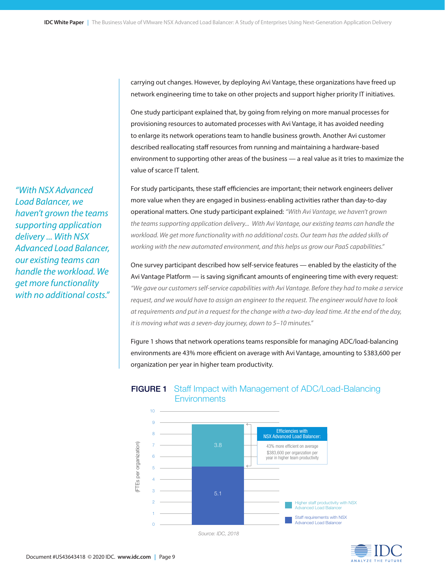carrying out changes. However, by deploying Avi Vantage, these organizations have freed up network engineering time to take on other projects and support higher priority IT initiatives.

One study participant explained that, by going from relying on more manual processes for provisioning resources to automated processes with Avi Vantage, it has avoided needing to enlarge its network operations team to handle business growth. Another Avi customer described reallocating staff resources from running and maintaining a hardware-based environment to supporting other areas of the business — a real value as it tries to maximize the value of scarce IT talent.

For study participants, these staff efficiencies are important; their network engineers deliver more value when they are engaged in business-enabling activities rather than day-to-day operational matters. One study participant explained: *"With Avi Vantage, we haven't grown the teams supporting application delivery... With Avi Vantage, our existing teams can handle the workload. We get more functionality with no additional costs. Our team has the added skills of working with the new automated environment, and this helps us grow our PaaS capabilities."* 

One survey participant described how self-service features — enabled by the elasticity of the Avi Vantage Platform — is saving significant amounts of engineering time with every request: *"We gave our customers self-service capabilities with Avi Vantage. Before they had to make a service request, and we would have to assign an engineer to the request. The engineer would have to look at requirements and put in a request for the change with a two-day lead time. At the end of the day, it is moving what was a seven-day journey, down to 5–10 minutes."* 

Figure 1 shows that network operations teams responsible for managing ADC/load-balancing environments are 43% more efficient on average with Avi Vantage, amounting to \$383,600 per organization per year in higher team productivity.



### FIGURE 1 Staff Impact with Management of ADC/Load-Balancing **Environments**

 *Source: IDC, 2018*



*"With NSX Advanced Load Balancer, we haven't grown the teams supporting application delivery ... With NSX Advanced Load Balancer, our existing teams can handle the workload. We get more functionality with no additional costs."*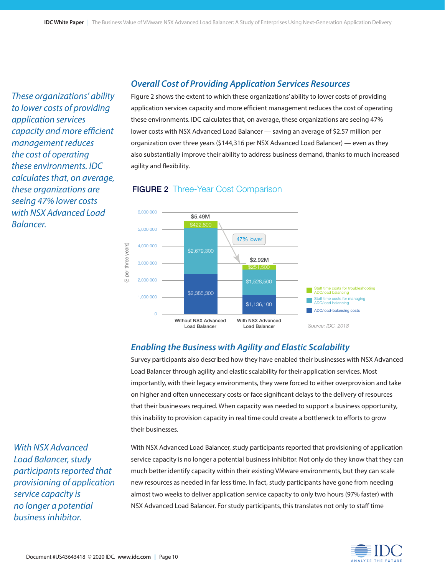*These organizations' ability to lower costs of providing application services capacity and more efficient management reduces the cost of operating these environments. IDC calculates that, on average, these organizations are seeing 47% lower costs with NSX Advanced Load Balancer.*

### *Overall Cost of Providing Application Services Resources*

Figure 2 shows the extent to which these organizations' ability to lower costs of providing application services capacity and more efficient management reduces the cost of operating these environments. IDC calculates that, on average, these organizations are seeing 47% lower costs with NSX Advanced Load Balancer — saving an average of \$2.57 million per organization over three years (\$144,316 per NSX Advanced Load Balancer) — even as they also substantially improve their ability to address business demand, thanks to much increased agility and flexibility.





### *Enabling the Business with Agility and Elastic Scalability*

Survey participants also described how they have enabled their businesses with NSX Advanced Load Balancer through agility and elastic scalability for their application services. Most importantly, with their legacy environments, they were forced to either overprovision and take on higher and often unnecessary costs or face significant delays to the delivery of resources that their businesses required. When capacity was needed to support a business opportunity, this inability to provision capacity in real time could create a bottleneck to efforts to grow their businesses.

With NSX Advanced Load Balancer, study participants reported that provisioning of application service capacity is no longer a potential business inhibitor. Not only do they know that they can much better identify capacity within their existing VMware environments, but they can scale new resources as needed in far less time. In fact, study participants have gone from needing almost two weeks to deliver application service capacity to only two hours (97% faster) with NSX Advanced Load Balancer. For study participants, this translates not only to staff time

*With NSX Advanced Load Balancer, study participants reported that provisioning of application service capacity is no longer a potential business inhibitor.*

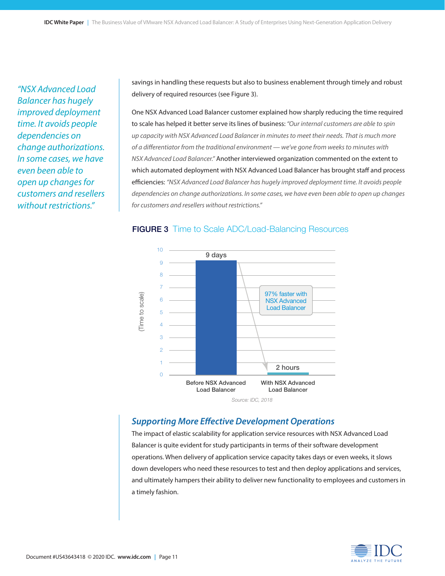*"NSX Advanced Load Balancer has hugely improved deployment time. It avoids people dependencies on change authorizations. In some cases, we have even been able to open up changes for customers and resellers without restrictions."*

savings in handling these requests but also to business enablement through timely and robust delivery of required resources (see Figure 3).

One NSX Advanced Load Balancer customer explained how sharply reducing the time required to scale has helped it better serve its lines of business: *"Our internal customers are able to spin up capacity with NSX Advanced Load Balancer in minutes to meet their needs. That is much more of a differentiator from the traditional environment — we've gone from weeks to minutes with NSX Advanced Load Balancer."* Another interviewed organization commented on the extent to which automated deployment with NSX Advanced Load Balancer has brought staff and process efficiencies: *"NSX Advanced Load Balancer has hugely improved deployment time. It avoids people dependencies on change authorizations. In some cases, we have even been able to open up changes for customers and resellers without restrictions."*

#### **FIGURE 3** Time to Scale ADC/Load-Balancing Resources



### *Supporting More Effective Development Operations*

The impact of elastic scalability for application service resources with NSX Advanced Load Balancer is quite evident for study participants in terms of their software development operations. When delivery of application service capacity takes days or even weeks, it slows down developers who need these resources to test and then deploy applications and services, and ultimately hampers their ability to deliver new functionality to employees and customers in a timely fashion.

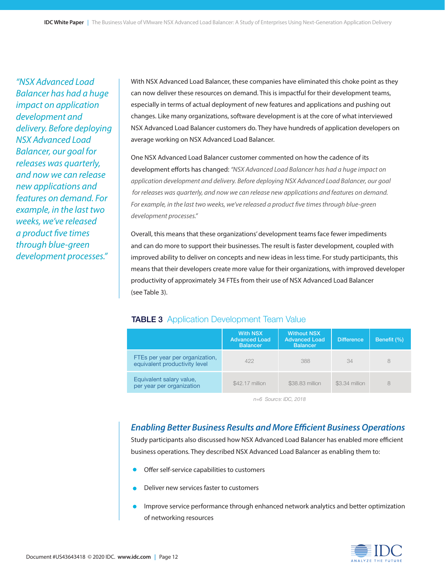*"NSX Advanced Load Balancer has had a huge impact on application development and delivery. Before deploying NSX Advanced Load Balancer, our goal for releases was quarterly, and now we can release new applications and features on demand. For example, in the last two weeks, we've released a product five times through blue-green development processes."*

With NSX Advanced Load Balancer, these companies have eliminated this choke point as they can now deliver these resources on demand. This is impactful for their development teams, especially in terms of actual deployment of new features and applications and pushing out changes. Like many organizations, software development is at the core of what interviewed NSX Advanced Load Balancer customers do. They have hundreds of application developers on average working on NSX Advanced Load Balancer.

One NSX Advanced Load Balancer customer commented on how the cadence of its development efforts has changed: *"NSX Advanced Load Balancer has had a huge impact on application development and delivery. Before deploying NSX Advanced Load Balancer, our goal for releases was quarterly, and now we can release new applications and features on demand. For example, in the last two weeks, we've released a product five times through blue-green development processes."*

Overall, this means that these organizations' development teams face fewer impediments and can do more to support their businesses. The result is faster development, coupled with improved ability to deliver on concepts and new ideas in less time. For study participants, this means that their developers create more value for their organizations, with improved developer productivity of approximately 34 FTEs from their use of NSX Advanced Load Balancer (see Table 3).

### **TABLE 3** Application Development Team Value

|                                                                  | <b>With NSX</b><br><b>Advanced Load</b><br><b>Balancer</b> | <b>Without NSX</b><br><b>Advanced Load</b><br><b>Balancer</b> | <b>Difference</b> | Benefit (%) |
|------------------------------------------------------------------|------------------------------------------------------------|---------------------------------------------------------------|-------------------|-------------|
| FTEs per year per organization,<br>equivalent productivity level | 422                                                        | 388                                                           | 34                |             |
| Equivalent salary value,<br>per year per organization            | \$42.17 million                                            | \$38,83 million                                               | \$3.34 million    | 8           |

*n=6 Source: IDC, 2018*

### *Enabling Better Business Results and More Efficient Business Operations*

Study participants also discussed how NSX Advanced Load Balancer has enabled more efficient business operations. They described NSX Advanced Load Balancer as enabling them to:

- Offer self-service capabilities to customers
- Deliver new services faster to customers
- Improve service performance through enhanced network analytics and better optimization of networking resources

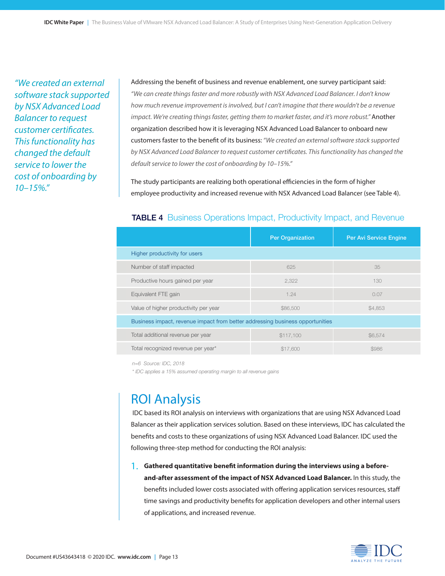*"We created an external software stack supported by NSX Advanced Load Balancer to request customer certificates. This functionality has changed the default service to lower the cost of onboarding by 10–15%."*

Addressing the benefit of business and revenue enablement, one survey participant said: *"We can create things faster and more robustly with NSX Advanced Load Balancer. I don't know how much revenue improvement is involved, but I can't imagine that there wouldn't be a revenue impact. We're creating things faster, getting them to market faster, and it's more robust.*" Another organization described how it is leveraging NSX Advanced Load Balancer to onboard new customers faster to the benefit of its business: *"We created an external software stack supported by NSX Advanced Load Balancer to request customer certificates. This functionality has changed the default service to lower the cost of onboarding by 10–15%."*

The study participants are realizing both operational efficiencies in the form of higher employee productivity and increased revenue with NSX Advanced Load Balancer (see Table 4).

#### **TABLE 4** Business Operations Impact, Productivity Impact, and Revenue

|                                                                               | <b>Per Organization</b> | Per Avi Service Engine |  |  |
|-------------------------------------------------------------------------------|-------------------------|------------------------|--|--|
| Higher productivity for users                                                 |                         |                        |  |  |
| Number of staff impacted                                                      | 625                     | 35                     |  |  |
| Productive hours gained per year                                              | 2,322                   | 130                    |  |  |
| Equivalent FTE gain                                                           | 1.24                    | 0.07                   |  |  |
| Value of higher productivity per year                                         | \$86,500                | \$4,853                |  |  |
| Business impact, revenue impact from better addressing business opportunities |                         |                        |  |  |
| Total additional revenue per year                                             | \$117,100               | \$6.574                |  |  |
| Total recognized revenue per year*                                            | \$17,600                | \$986                  |  |  |

*n=6 Source: IDC, 2018*

*\* IDC applies a 15% assumed operating margin to all revenue gains*

### ROI Analysis

 IDC based its ROI analysis on interviews with organizations that are using NSX Advanced Load Balancer as their application services solution. Based on these interviews, IDC has calculated the benefits and costs to these organizations of using NSX Advanced Load Balancer. IDC used the following three-step method for conducting the ROI analysis:

### **1. Gathered quantitative benefit information during the interviews using a before-**1.

**and-after assessment of the impact of NSX Advanced Load Balancer.** In this study, the benefits included lower costs associated with offering application services resources, staff time savings and productivity benefits for application developers and other internal users of applications, and increased revenue.

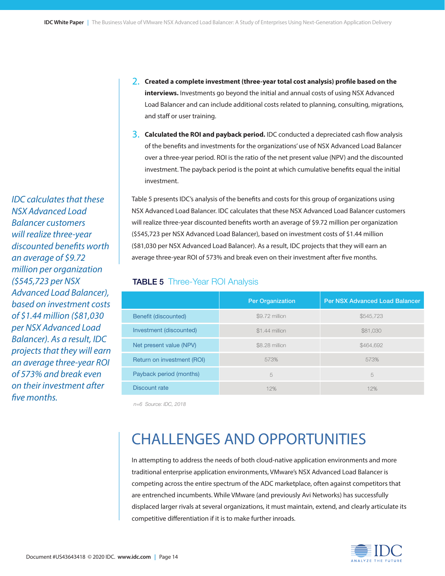**2. Created a complete investment (three-year total cost analysis) profile based on the**  2.**interviews.** Investments go beyond the initial and annual costs of using NSX Advanced Load Balancer and can include additional costs related to planning, consulting, migrations, and staff or user training.

**3. Calculated the ROI and payback period.** IDC conducted a depreciated cash flow analysis 3. of the benefits and investments for the organizations' use of NSX Advanced Load Balancer over a three-year period. ROI is the ratio of the net present value (NPV) and the discounted investment. The payback period is the point at which cumulative benefits equal the initial investment.

Table 5 presents IDC's analysis of the benefits and costs for this group of organizations using NSX Advanced Load Balancer. IDC calculates that these NSX Advanced Load Balancer customers will realize three-year discounted benefits worth an average of \$9.72 million per organization (\$545,723 per NSX Advanced Load Balancer), based on investment costs of \$1.44 million (\$81,030 per NSX Advanced Load Balancer). As a result, IDC projects that they will earn an average three-year ROI of 573% and break even on their investment after five months.

#### **TABLE 5** Three-Year ROI Analysis

|                            | <b>Per Organization</b> | <b>Per NSX Advanced Load Balancer</b> |
|----------------------------|-------------------------|---------------------------------------|
| Benefit (discounted)       | \$9.72 million          | \$545,723                             |
| Investment (discounted)    | \$1,44 million          | \$81,030                              |
| Net present value (NPV)    | \$8.28 million          | \$464,692                             |
| Return on investment (ROI) | 573%                    | 573%                                  |
| Payback period (months)    | 5                       | 5                                     |
| Discount rate              | 12%                     | 12%                                   |

*n=6 Source: IDC, 2018*

# CHALLENGES AND OPPORTUNITIES

In attempting to address the needs of both cloud-native application environments and more traditional enterprise application environments, VMware's NSX Advanced Load Balancer is competing across the entire spectrum of the ADC marketplace, often against competitors that are entrenched incumbents. While VMware (and previously Avi Networks) has successfully displaced larger rivals at several organizations, it must maintain, extend, and clearly articulate its competitive differentiation if it is to make further inroads.



*NSX Advanced Load Balancer customers will realize three-year discounted benefits worth an average of \$9.72 million per organization (\$545,723 per NSX Advanced Load Balancer), based on investment costs of \$1.44 million (\$81,030 per NSX Advanced Load Balancer). As a result, IDC projects that they will earn an average three-year ROI of 573% and break even on their investment after five months.*

*IDC calculates that these*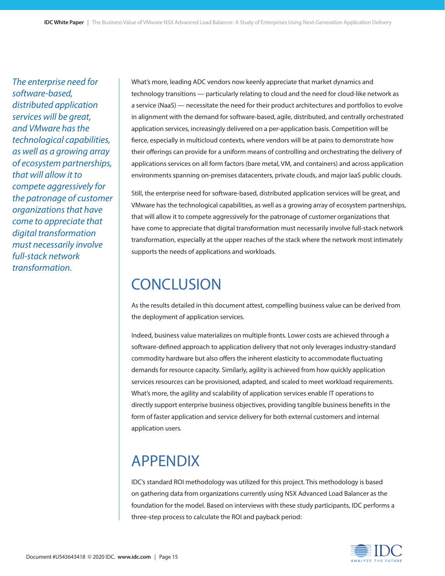*The enterprise need for software-based, distributed application services will be great, and VMware has the technological capabilities, as well as a growing array of ecosystem partnerships, that will allow it to compete aggressively for the patronage of customer organizations that have come to appreciate that digital transformation must necessarily involve full-stack network transformation.*

What's more, leading ADC vendors now keenly appreciate that market dynamics and technology transitions — particularly relating to cloud and the need for cloud-like network as a service (NaaS) — necessitate the need for their product architectures and portfolios to evolve in alignment with the demand for software-based, agile, distributed, and centrally orchestrated application services, increasingly delivered on a per-application basis. Competition will be fierce, especially in multicloud contexts, where vendors will be at pains to demonstrate how their offerings can provide for a uniform means of controlling and orchestrating the delivery of applications services on all form factors (bare metal, VM, and containers) and across application environments spanning on-premises datacenters, private clouds, and major IaaS public clouds.

Still, the enterprise need for software-based, distributed application services will be great, and VMware has the technological capabilities, as well as a growing array of ecosystem partnerships, that will allow it to compete aggressively for the patronage of customer organizations that have come to appreciate that digital transformation must necessarily involve full-stack network transformation, especially at the upper reaches of the stack where the network most intimately supports the needs of applications and workloads.

# **CONCLUSION**

As the results detailed in this document attest, compelling business value can be derived from the deployment of application services.

Indeed, business value materializes on multiple fronts. Lower costs are achieved through a software-defined approach to application delivery that not only leverages industry-standard commodity hardware but also offers the inherent elasticity to accommodate fluctuating demands for resource capacity. Similarly, agility is achieved from how quickly application services resources can be provisioned, adapted, and scaled to meet workload requirements. What's more, the agility and scalability of application services enable IT operations to directly support enterprise business objectives, providing tangible business benefits in the form of faster application and service delivery for both external customers and internal application users.

# APPENDIX

IDC's standard ROI methodology was utilized for this project. This methodology is based on gathering data from organizations currently using NSX Advanced Load Balancer as the foundation for the model. Based on interviews with these study participants, IDC performs a three-step process to calculate the ROI and payback period: